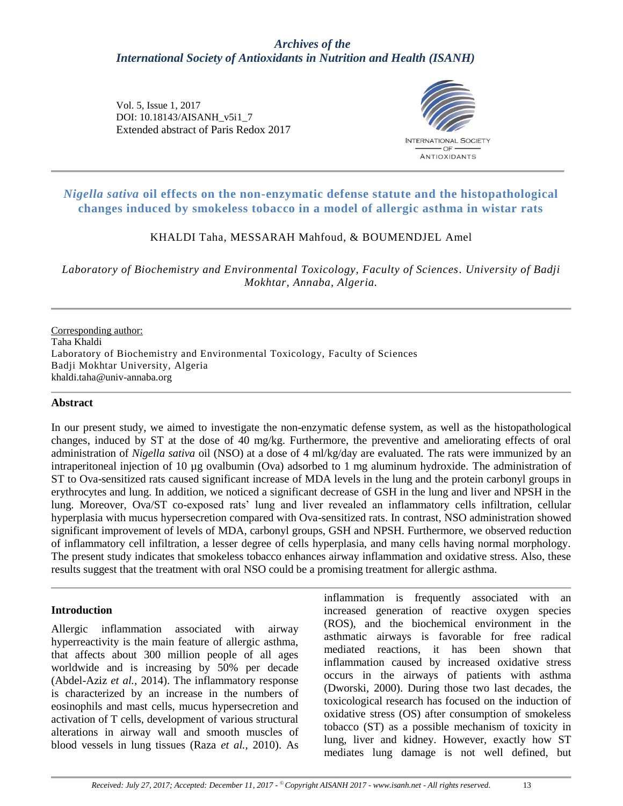# *Archives of the International Society of Antioxidants in Nutrition and Health (ISANH)*

Vol. 5, Issue 1, 2017 DOI: 10.18143/AISANH\_v5i1\_7 Extended abstract of Paris Redox 2017



# *Nigella sativa* **oil effects on the non-enzymatic defense statute and the histopathological changes induced by smokeless tobacco in a model of allergic asthma in wistar rats**

## KHALDI Taha, MESSARAH Mahfoud, & BOUMENDJEL Amel

*Laboratory of Biochemistry and Environmental Toxicology, Faculty of Sciences. University of Badji Mokhtar, Annaba, Algeria.*

Corresponding author: Taha Khaldi Laboratory of Biochemistry and Environmental Toxicology, Faculty of Sciences Badji Mokhtar University, Algeria khaldi.taha@univ-annaba.org

#### **Abstract**

In our present study, we aimed to investigate the non-enzymatic defense system, as well as the histopathological changes, induced by ST at the dose of 40 mg/kg. Furthermore, the preventive and ameliorating effects of oral administration of *Nigella sativa* oil (NSO) at a dose of 4 ml/kg/day are evaluated. The rats were immunized by an intraperitoneal injection of 10 µg ovalbumin (Ova) adsorbed to 1 mg aluminum hydroxide. The administration of ST to Ova-sensitized rats caused significant increase of MDA levels in the lung and the protein carbonyl groups in erythrocytes and lung. In addition, we noticed a significant decrease of GSH in the lung and liver and NPSH in the lung. Moreover, Ova/ST co-exposed rats' lung and liver revealed an inflammatory cells infiltration, cellular hyperplasia with mucus hypersecretion compared with Ova-sensitized rats. In contrast, NSO administration showed significant improvement of levels of MDA, carbonyl groups, GSH and NPSH. Furthermore, we observed reduction of inflammatory cell infiltration, a lesser degree of cells hyperplasia, and many cells having normal morphology. The present study indicates that smokeless tobacco enhances airway inflammation and oxidative stress. Also, these results suggest that the treatment with oral NSO could be a promising treatment for allergic asthma.

#### **Introduction**

Allergic inflammation associated with airway hyperreactivity is the main feature of allergic asthma, that affects about 300 million people of all ages worldwide and is increasing by 50% per decade (Abdel-Aziz *et al.,* 2014). The inflammatory response is characterized by an increase in the numbers of eosinophils and mast cells, mucus hypersecretion and activation of T cells, development of various structural alterations in airway wall and smooth muscles of blood vessels in lung tissues (Raza *et al.,* 2010). As

inflammation is frequently associated with an increased generation of reactive oxygen species (ROS), and the biochemical environment in the asthmatic airways is favorable for free radical mediated reactions, it has been shown that inflammation caused by increased oxidative stress occurs in the airways of patients with asthma (Dworski, 2000). During those two last decades, the toxicological research has focused on the induction of oxidative stress (OS) after consumption of smokeless tobacco (ST) as a possible mechanism of toxicity in lung, liver and kidney. However, exactly how ST mediates lung damage is not well defined, but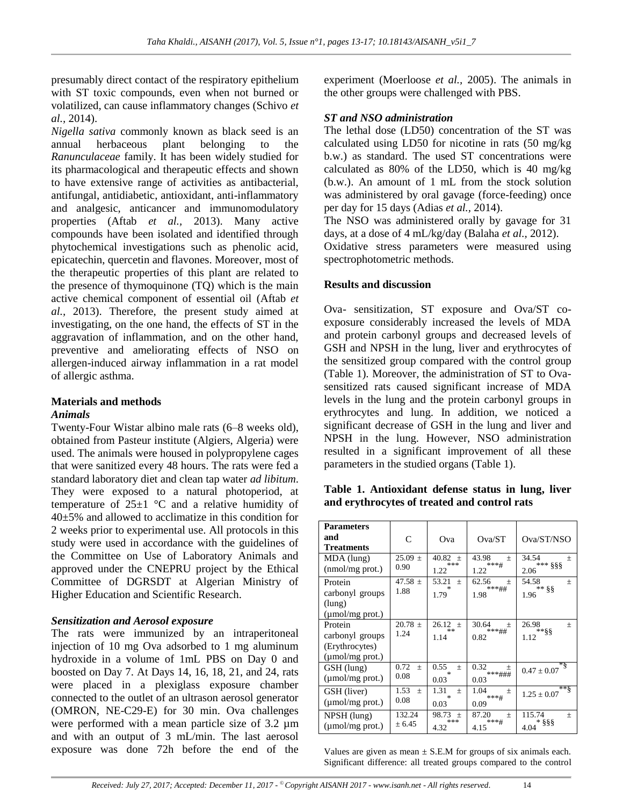presumably direct contact of the respiratory epithelium with ST toxic compounds, even when not burned or volatilized, can cause inflammatory changes (Schivo *et al.,* 2014).

*Nigella sativa* commonly known as black seed is an annual herbaceous plant belonging to the *Ranunculaceae* family. It has been widely studied for its pharmacological and therapeutic effects and shown to have extensive range of activities as antibacterial, antifungal, antidiabetic, antioxidant, anti-inflammatory and analgesic, anticancer and immunomodulatory properties (Aftab *et al.,* 2013). Many active compounds have been isolated and identified through phytochemical investigations such as phenolic acid, epicatechin, quercetin and flavones. Moreover, most of the therapeutic properties of this plant are related to the presence of thymoquinone (TQ) which is the main active chemical component of essential oil (Aftab *et al.,* 2013). Therefore, the present study aimed at investigating, on the one hand, the effects of ST in the aggravation of inflammation, and on the other hand, preventive and ameliorating effects of NSO on allergen-induced airway inflammation in a rat model of allergic asthma.

## **Materials and methods** *Animals*

Twenty-Four Wistar albino male rats (6–8 weeks old), obtained from Pasteur institute (Algiers, Algeria) were used. The animals were housed in polypropylene cages that were sanitized every 48 hours. The rats were fed a standard laboratory diet and clean tap water *ad libitum*. They were exposed to a natural photoperiod, at temperature of  $25\pm1$  °C and a relative humidity of 40±5% and allowed to acclimatize in this condition for 2 weeks prior to experimental use. All protocols in this study were used in accordance with the guidelines of the Committee on Use of Laboratory Animals and approved under the CNEPRU project by the Ethical Committee of DGRSDT at Algerian Ministry of Higher Education and Scientific Research.

## *Sensitization and Aerosol exposure*

The rats were immunized by an intraperitoneal injection of 10 mg Ova adsorbed to 1 mg aluminum hydroxide in a volume of 1mL PBS on Day 0 and boosted on Day 7. At Days 14, 16, 18, 21, and 24, rats were placed in a plexiglass exposure chamber connected to the outlet of an ultrason aerosol generator (OMRON, NE-C29-E) for 30 min. Ova challenges were performed with a mean particle size of 3.2  $\mu$ m and with an output of 3 mL/min. The last aerosol exposure was done 72h before the end of the

experiment (Moerloose *et al.,* 2005). The animals in the other groups were challenged with PBS.

## *ST and NSO administration*

The lethal dose (LD50) concentration of the ST was calculated using LD50 for nicotine in rats (50 mg/kg b.w.) as standard. The used ST concentrations were calculated as 80% of the LD50, which is 40 mg/kg (b.w.). An amount of 1 mL from the stock solution was administered by oral gavage (force-feeding) once per day for 15 days (Adias *et al.,* 2014).

The NSO was administered orally by gavage for 31 days, at a dose of 4 mL/kg/day (Balaha *et al.,* 2012). Oxidative stress parameters were measured using spectrophotometric methods.

## **Results and discussion**

Ova- sensitization, ST exposure and Ova/ST coexposure considerably increased the levels of MDA and protein carbonyl groups and decreased levels of GSH and NPSH in the lung, liver and erythrocytes of the sensitized group compared with the control group (Table 1). Moreover, the administration of ST to Ovasensitized rats caused significant increase of MDA levels in the lung and the protein carbonyl groups in erythrocytes and lung. In addition, we noticed a significant decrease of GSH in the lung and liver and NPSH in the lung. However, NSO administration resulted in a significant improvement of all these parameters in the studied organs (Table 1).

#### **Table 1. Antioxidant defense status in lung, liver and erythrocytes of treated and control rats**

| <b>Parameters</b><br>and<br>Treatments                               | C                      | Ova                            | Ova/ST                                  | Ova/ST/NSO                                  |
|----------------------------------------------------------------------|------------------------|--------------------------------|-----------------------------------------|---------------------------------------------|
| MDA (lung)<br>$(mmol/mg$ prot.)                                      | $25.09 \pm$<br>0.90    | 40.82 $\pm$<br>***<br>1.22     | 43.98<br>$^{+}$<br>***#<br>1.22         | 34.54<br>$\! + \!\!\!\!$<br>*** §§§<br>2.06 |
| Protein<br>carbonyl groups<br>(lung)<br>(µmol/mg prot.)              | 47.58 $\pm$<br>1.88    | 53.21<br>$+$<br>1.79           | 62.56<br>$^{+}$<br>***##<br>1.98        | 54.58<br>$^{+}$<br>$**$ 88<br>1.96          |
| Protein<br>carbonyl groups<br>(Erythrocytes)<br>$(\mu$ mol/mg prot.) | $20.78 \pm$<br>1.24    | 26.12<br>$+$<br>**<br>1.14     | 30.64<br>$^{+}$<br>***##<br>0.82        | 26.98<br>$+$<br>**§§<br>1.12                |
| GSH (lung)<br>$\mu$ mol/mg prot.)                                    | 0.72<br>$^{+}$<br>0.08 | 0.55<br>$^{+}$<br>0.03         | 0.32<br>$^{+}$<br>***###<br>0.03        | *§<br>$0.47 \pm 0.07$                       |
| GSH (liver)<br>(µmol/mg prot.)                                       | 1.53<br>$+$<br>0.08    | 1.31<br>$+$<br>$\ast$<br>0.03  | 1.04<br>$\! + \!\!\!\!$<br>***#<br>0.09 | $**\S$<br>$1.25 \pm 0.07$                   |
| $NPSH$ (lung)<br>$(\mu$ mol/mg prot.)                                | 132.24<br>± 6.45       | 98.73<br>$^{+}$<br>***<br>4.32 | 87.20<br>$+$<br>***#<br>4.15            | 115.74<br>$\! + \!\!\!\!$<br>* §§§<br>4.04  |

Values are given as mean  $\pm$  S.E.M for groups of six animals each. Significant difference: all treated groups compared to the control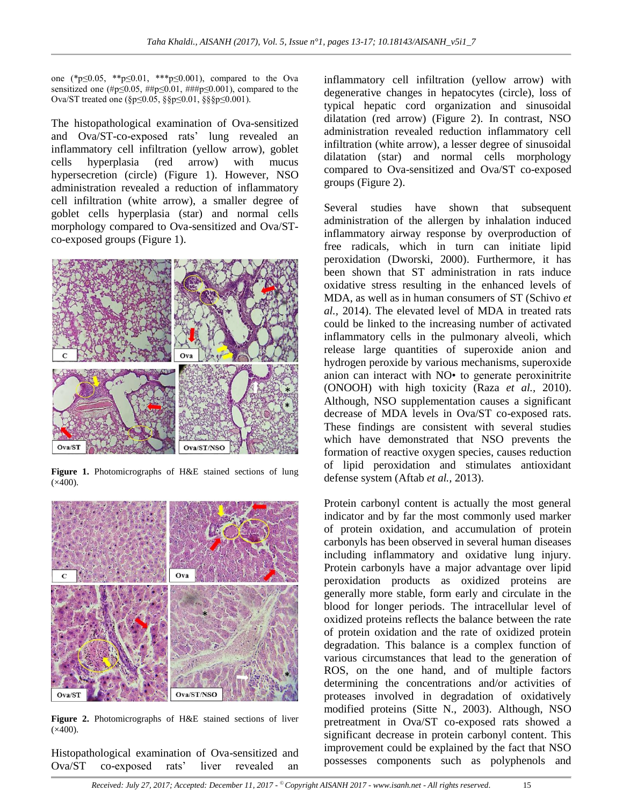one (\*p≤0.05, \*\*p≤0.01, \*\*\*p≤0.001), compared to the Ova sensitized one (#p≤0.05, ##p≤0.01, ###p≤0.001), compared to the Ova/ST treated one (§p≤0.05, §§p≤0.01, §§§p≤0.001).

The histopathological examination of Ova-sensitized and Ova/ST-co-exposed rats' lung revealed an inflammatory cell infiltration (yellow arrow), goblet cells hyperplasia (red arrow) with mucus hypersecretion (circle) (Figure 1). However, NSO administration revealed a reduction of inflammatory cell infiltration (white arrow), a smaller degree of goblet cells hyperplasia (star) and normal cells morphology compared to Ova-sensitized and Ova/STco-exposed groups (Figure 1).



**Figure 1.** Photomicrographs of H&E stained sections of lung  $(x400)$ .



**Figure 2.** Photomicrographs of H&E stained sections of liver  $(x400)$ .

Histopathological examination of Ova-sensitized and Ova/ST co-exposed rats' liver revealed an

inflammatory cell infiltration (yellow arrow) with degenerative changes in hepatocytes (circle), loss of typical hepatic cord organization and sinusoidal dilatation (red arrow) (Figure 2). In contrast, NSO administration revealed reduction inflammatory cell infiltration (white arrow), a lesser degree of sinusoidal dilatation (star) and normal cells morphology compared to Ova-sensitized and Ova/ST co-exposed groups (Figure 2).

Several studies have shown that subsequent administration of the allergen by inhalation induced inflammatory airway response by overproduction of free radicals, which in turn can initiate lipid peroxidation (Dworski, 2000). Furthermore, it has been shown that ST administration in rats induce oxidative stress resulting in the enhanced levels of MDA, as well as in human consumers of ST (Schivo *et al.,* 2014). The elevated level of MDA in treated rats could be linked to the increasing number of activated inflammatory cells in the pulmonary alveoli, which release large quantities of superoxide anion and hydrogen peroxide by various mechanisms, superoxide anion can interact with NO• to generate peroxinitrite (ONOOH) with high toxicity (Raza *et al.,* 2010). Although, NSO supplementation causes a significant decrease of MDA levels in Ova/ST co-exposed rats. These findings are consistent with several studies which have demonstrated that NSO prevents the formation of reactive oxygen species, causes reduction of lipid peroxidation and stimulates antioxidant defense system (Aftab *et al.,* 2013).

Protein carbonyl content is actually the most general indicator and by far the most commonly used marker of protein oxidation, and accumulation of protein carbonyls has been observed in several human diseases including inflammatory and oxidative lung injury. Protein carbonyls have a major advantage over lipid peroxidation products as oxidized proteins are generally more stable, form early and circulate in the blood for longer periods. The intracellular level of oxidized proteins reflects the balance between the rate of protein oxidation and the rate of oxidized protein degradation. This balance is a complex function of various circumstances that lead to the generation of ROS, on the one hand, and of multiple factors determining the concentrations and/or activities of proteases involved in degradation of oxidatively modified proteins (Sitte N., 2003). Although, NSO pretreatment in Ova/ST co-exposed rats showed a significant decrease in protein carbonyl content. This improvement could be explained by the fact that NSO possesses components such as polyphenols and